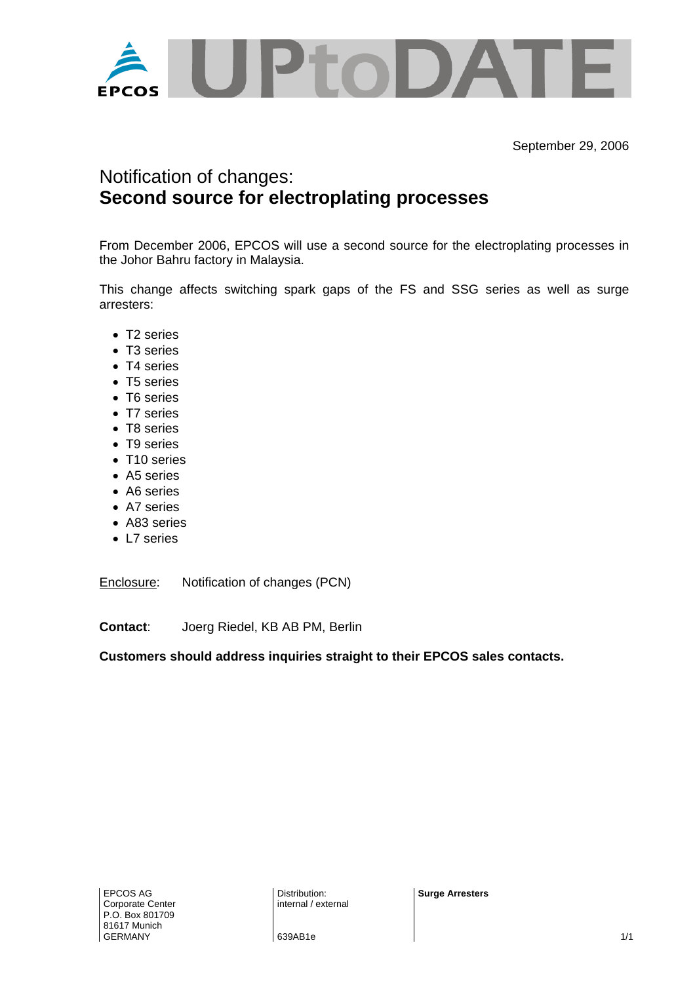

September 29, 2006

## Notification of changes: **Second source for electroplating processes**

From December 2006, EPCOS will use a second source for the electroplating processes in the Johor Bahru factory in Malaysia.

This change affects switching spark gaps of the FS and SSG series as well as surge arresters:

- T2 series
- T3 series
- T4 series
- T5 series
- T6 series
- T7 series
- T8 series
- T9 series
- T10 series
- A5 series
- A6 series
- A7 series
- A83 series
- L7 series

Enclosure: Notification of changes (PCN)

**Contact**: Joerg Riedel, KB AB PM, Berlin

**Customers should address inquiries straight to their EPCOS sales contacts.** 

**Surge Arresters**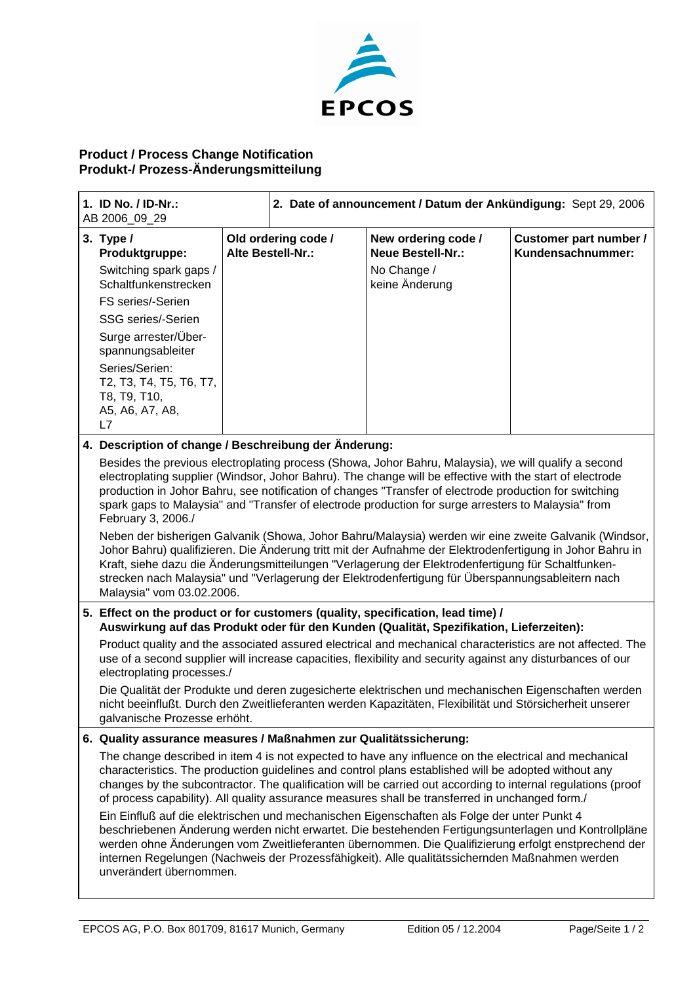

## **Product / Process Change Notification Produkt-/ Prozess-Änderungsmitteilung**

| 1. ID No. / ID-Nr.:<br>AB 2006_09_29 |                                                                                                                                                                                                                                                                                                                                                                                                                                                           | 2. Date of announcement / Datum der Ankündigung: Sept 29, 2006 |                                          |                                                 |                                             |  |
|--------------------------------------|-----------------------------------------------------------------------------------------------------------------------------------------------------------------------------------------------------------------------------------------------------------------------------------------------------------------------------------------------------------------------------------------------------------------------------------------------------------|----------------------------------------------------------------|------------------------------------------|-------------------------------------------------|---------------------------------------------|--|
|                                      | 3. Type $/$<br>Produktgruppe:                                                                                                                                                                                                                                                                                                                                                                                                                             |                                                                | Old ordering code /<br>Alte Bestell-Nr.: | New ordering code /<br><b>Neue Bestell-Nr.:</b> | Customer part number /<br>Kundensachnummer: |  |
|                                      | Switching spark gaps /<br>Schaltfunkenstrecken                                                                                                                                                                                                                                                                                                                                                                                                            |                                                                |                                          | No Change /<br>keine Änderung                   |                                             |  |
|                                      | FS series/-Serien                                                                                                                                                                                                                                                                                                                                                                                                                                         |                                                                |                                          |                                                 |                                             |  |
|                                      | SSG series/-Serien                                                                                                                                                                                                                                                                                                                                                                                                                                        |                                                                |                                          |                                                 |                                             |  |
|                                      | Surge arrester/Über-<br>spannungsableiter                                                                                                                                                                                                                                                                                                                                                                                                                 |                                                                |                                          |                                                 |                                             |  |
|                                      | Series/Serien:<br>T2, T3, T4, T5, T6, T7,<br>T8, T9, T10,<br>A5, A6, A7, A8,<br>L7                                                                                                                                                                                                                                                                                                                                                                        |                                                                |                                          |                                                 |                                             |  |
|                                      | 4. Description of change / Beschreibung der Änderung:                                                                                                                                                                                                                                                                                                                                                                                                     |                                                                |                                          |                                                 |                                             |  |
|                                      | Besides the previous electroplating process (Showa, Johor Bahru, Malaysia), we will qualify a second<br>electroplating supplier (Windsor, Johor Bahru). The change will be effective with the start of electrode<br>production in Johor Bahru, see notification of changes "Transfer of electrode production for switching<br>spark gaps to Malaysia" and "Transfer of electrode production for surge arresters to Malaysia" from<br>February 3, 2006./   |                                                                |                                          |                                                 |                                             |  |
|                                      | Neben der bisherigen Galvanik (Showa, Johor Bahru/Malaysia) werden wir eine zweite Galvanik (Windsor,<br>Johor Bahru) qualifizieren. Die Änderung tritt mit der Aufnahme der Elektrodenfertigung in Johor Bahru in<br>Kraft, siehe dazu die Änderungsmitteilungen "Verlagerung der Elektrodenfertigung für Schaltfunken-<br>strecken nach Malaysia" und "Verlagerung der Elektrodenfertigung für Überspannungsableitern nach<br>Malaysia" vom 03.02.2006. |                                                                |                                          |                                                 |                                             |  |
|                                      | 5. Effect on the product or for customers (quality, specification, lead time) /<br>Auswirkung auf das Produkt oder für den Kunden (Qualität, Spezifikation, Lieferzeiten):                                                                                                                                                                                                                                                                                |                                                                |                                          |                                                 |                                             |  |
|                                      | Product quality and the associated assured electrical and mechanical characteristics are not affected. The<br>use of a second supplier will increase capacities, flexibility and security against any disturbances of our<br>electroplating processes./                                                                                                                                                                                                   |                                                                |                                          |                                                 |                                             |  |
|                                      | Die Qualität der Produkte und deren zugesicherte elektrischen und mechanischen Eigenschaften werden<br>nicht beeinflußt. Durch den Zweitlieferanten werden Kapazitäten, Flexibilität und Störsicherheit unserer<br>galvanische Prozesse erhöht.                                                                                                                                                                                                           |                                                                |                                          |                                                 |                                             |  |
|                                      | 6. Quality assurance measures / Maßnahmen zur Qualitätssicherung:                                                                                                                                                                                                                                                                                                                                                                                         |                                                                |                                          |                                                 |                                             |  |
|                                      | The change described in item 4 is not expected to have any influence on the electrical and mechanical<br>characteristics. The production guidelines and control plans established will be adopted without any<br>changes by the subcontractor. The qualification will be carried out according to internal regulations (proof<br>of process capability). All quality assurance measures shall be transferred in unchanged form./                          |                                                                |                                          |                                                 |                                             |  |
|                                      | Ein Einfluß auf die elektrischen und mechanischen Eigenschaften als Folge der unter Punkt 4<br>beschriebenen Änderung werden nicht erwartet. Die bestehenden Fertigungsunterlagen und Kontrollpläne<br>werden ohne Änderungen vom Zweitlieferanten übernommen. Die Qualifizierung erfolgt enstprechend der<br>internen Regelungen (Nachweis der Prozessfähigkeit). Alle qualitätssichernden Maßnahmen werden<br>unverändert übernommen.                   |                                                                |                                          |                                                 |                                             |  |